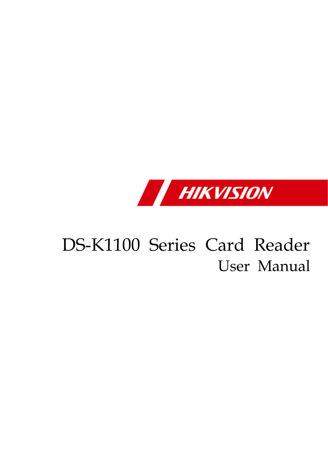

# DS-K1100 Series Card Reader User Manual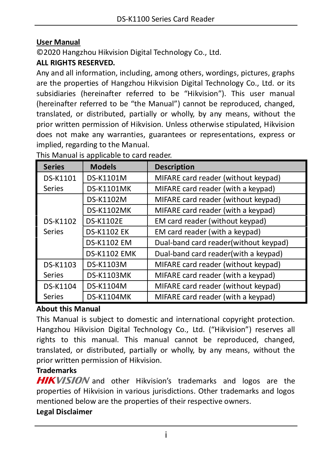#### **User Manual**

© 2020 Hangzhou Hikvision Digital Technology Co., Ltd.

#### **ALL RIGHTS RESERVED.**

Any and all information, including, among others, wordings, pictures, graphs are the properties of Hangzhou Hikvision Digital Technology Co., Ltd. or its subsidiaries (hereinafter referred to be "Hikvision"). This user manual (hereinafter referred to be "the Manual") cannot be reproduced, changed, translated, or distributed, partially or wholly, by any means, without the prior written permission of Hikvision. Unless otherwise stipulated, Hikvision does not make any warranties, guarantees or representations, express or implied, regarding to the Manual.

| <b>Series</b> | <b>Models</b>       | <b>Description</b>                    |
|---------------|---------------------|---------------------------------------|
| DS-K1101      | DS-K1101M           | MIFARE card reader (without keypad)   |
| Series        | <b>DS-K1101MK</b>   | MIFARE card reader (with a keypad)    |
|               | DS-K1102M           | MIFARE card reader (without keypad)   |
|               | <b>DS-K1102MK</b>   | MIFARE card reader (with a keypad)    |
| DS-K1102      | <b>DS-K1102E</b>    | EM card reader (without keypad)       |
| Series        | <b>DS-K1102 EK</b>  | EM card reader (with a keypad)        |
|               | DS-K1102 EM         | Dual-band card reader(without keypad) |
|               | <b>DS-K1102 EMK</b> | Dual-band card reader(with a keypad)  |
| DS-K1103      | DS-K1103M           | MIFARE card reader (without keypad)   |
| Series        | <b>DS-K1103MK</b>   | MIFARE card reader (with a keypad)    |
| DS-K1104      | DS-K1104M           | MIFARE card reader (without keypad)   |
| Series        | <b>DS-K1104MK</b>   | MIFARE card reader (with a keypad)    |

This Manual is applicable to card reader.

#### **About this Manual**

This Manual is subject to domestic and international copyright protection. Hangzhou Hikvision Digital Technology Co., Ltd. ("Hikvision") reserves all rights to this manual. This manual cannot be reproduced, changed, translated, or distributed, partially or wholly, by any means, without the prior written permission of Hikvision.

### **Trademarks**

HIKVISION and other Hikvision's trademarks and logos are the properties of Hikvision in various jurisdictions. Other trademarks and logos mentioned below are the properties of their respective owners.

#### **Legal Disclaimer**

i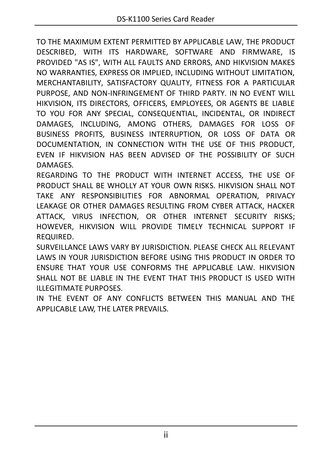TO THE MAXIMUM EXTENT PERMITTED BY APPLICABLE LAW, THE PRODUCT DESCRIBED, WITH ITS HARDWARE, SOFTWARE AND FIRMWARE, IS PROVIDED "AS IS", WITH ALL FAULTS AND ERRORS, AND HIKVISION MAKES NO WARRANTIES, EXPRESS OR IMPLIED, INCLUDING WITHOUT LIMITATION, MERCHANTABILITY, SATISFACTORY QUALITY, FITNESS FOR A PARTICULAR PURPOSE, AND NON-INFRINGEMENT OF THIRD PARTY. IN NO EVENT WILL HIKVISION, ITS DIRECTORS, OFFICERS, EMPLOYEES, OR AGENTS BE LIABLE TO YOU FOR ANY SPECIAL, CONSEQUENTIAL, INCIDENTAL, OR INDIRECT DAMAGES, INCLUDING, AMONG OTHERS, DAMAGES FOR LOSS OF BUSINESS PROFITS, BUSINESS INTERRUPTION, OR LOSS OF DATA OR DOCUMENTATION, IN CONNECTION WITH THE USE OF THIS PRODUCT, EVEN IF HIKVISION HAS BEEN ADVISED OF THE POSSIBILITY OF SUCH DAMAGES.

REGARDING TO THE PRODUCT WITH INTERNET ACCESS, THE USE OF PRODUCT SHALL BE WHOLLY AT YOUR OWN RISKS. HIKVISION SHALL NOT TAKE ANY RESPONSIBILITIES FOR ABNORMAL OPERATION, PRIVACY LEAKAGE OR OTHER DAMAGES RESULTING FROM CYBER ATTACK, HACKER ATTACK, VIRUS INFECTION, OR OTHER INTERNET SECURITY RISKS; HOWEVER, HIKVISION WILL PROVIDE TIMELY TECHNICAL SUPPORT IF REQUIRED.

SURVEILLANCE LAWS VARY BY JURISDICTION. PLEASE CHECK ALL RELEVANT LAWS IN YOUR JURISDICTION BEFORE USING THIS PRODUCT IN ORDER TO ENSURE THAT YOUR USE CONFORMS THE APPLICABLE LAW. HIKVISION SHALL NOT BE LIABLE IN THE EVENT THAT THIS PRODUCT IS USED WITH ILLEGITIMATE PURPOSES.

IN THE EVENT OF ANY CONFLICTS BETWEEN THIS MANUAL AND THE APPLICABLE LAW, THE LATER PREVAILS.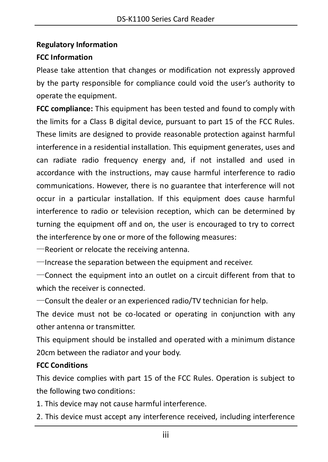#### **Regulatory Information**

### **FCC Information**

Please take attention that changes or modification not expressly approved by the party responsible for compliance could void the user's authority to operate the equipment.

**FCC compliance:** This equipment has been tested and found to comply with the limits for a Class B digital device, pursuant to part 15 of the FCC Rules. These limits are designed to provide reasonable protection against harmful interference in a residential installation. This equipment generates, uses and can radiate radio frequency energy and, if not installed and used in accordance with the instructions, may cause harmful interference to radio communications. However, there is no guarantee that interference will not occur in a particular installation. If this equipment does cause harmful interference to radio or television reception, which can be determined by turning the equipment off and on, the user is encouraged to try to correct the interference by one or more of the following measures:

—Reorient or relocate the receiving antenna.

—Increase the separation between the equipment and receiver.

—Connect the equipment into an outlet on a circuit different from that to which the receiver is connected.

—Consult the dealer or an experienced radio/TV technician for help.

The device must not be co-located or operating in conjunction with any other antenna or transmitter.

This equipment should be installed and operated with a minimum distance 20cm between the radiator and your body.

### **FCC Conditions**

This device complies with part 15 of the FCC Rules. Operation is subject to the following two conditions:

1. This device may not cause harmful interference.

2. This device must accept any interference received, including interference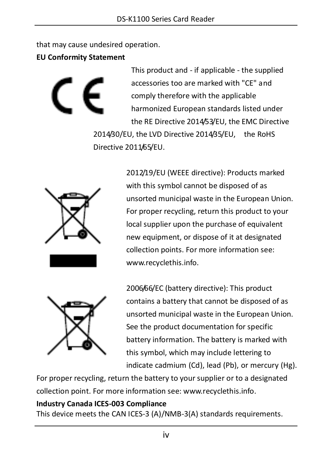that may cause undesired operation.

**EU Conformity Statement**

This product and - if applicable - the supplied accessories too are marked with "CE" and comply therefore with the applicable harmonized European standards listed under the RE Directive 2014/53/EU, the EMC Directive 2014/30/EU, the LVD Directive 2014/35/EU, the RoHS Directive 2011/65/EU.



2012/19/EU (WEEE directive): Products marked with this symbol cannot be disposed of as unsorted municipal waste in the European Union. For proper recycling, return this product to your local supplier upon the purchase of equivalent new equipment, or dispose of it at designated collection points. For more information see: [www.recyclethis.info.](http://www.recyclethis.info/)



2006/66/EC (battery directive): This product contains a battery that cannot be disposed of as unsorted municipal waste in the European Union. See the product documentation for specific battery information. The battery is marked with this symbol, which may include lettering to indicate cadmium (Cd), lead (Pb), or mercury (Hg).

For proper recycling, return the battery to your supplier or to a designated collection point. For more information see: www.recyclethis.info.

### **Industry Canada ICES-003 Compliance**

This device meets the CAN ICES-3 (A)/NMB-3(A) standards requirements.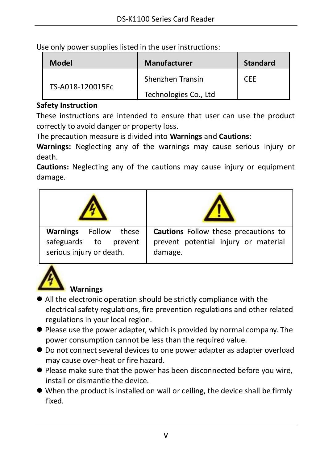| Model            | <b>Manufacturer</b>   | <b>Standard</b> |
|------------------|-----------------------|-----------------|
|                  | Shenzhen Transin      | CFF             |
| TS-A018-120015Ec | Technologies Co., Ltd |                 |

Use only power supplies listed in the user instructions:

#### **Safety Instruction**

These instructions are intended to ensure that user can use the product correctly to avoid danger or property loss.

The precaution measure is divided into **Warnings** and **Cautions**:

**Warnings:** Neglecting any of the warnings may cause serious injury or death.

**Cautions:** Neglecting any of the cautions may cause injury or equipment damage.





### **Warnings**

- All the electronic operation should be strictly compliance with the electrical safety regulations, fire prevention regulations and other related regulations in your local region.
- Please use the power adapter, which is provided by normal company. The power consumption cannot be less than the required value.
- $\bullet$  Do not connect several devices to one power adapter as adapter overload may cause over-heat or fire hazard.
- Please make sure that the power has been disconnected before you wire, install or dismantle the device.
- When the product is installed on wall or ceiling, the device shall be firmly fixed.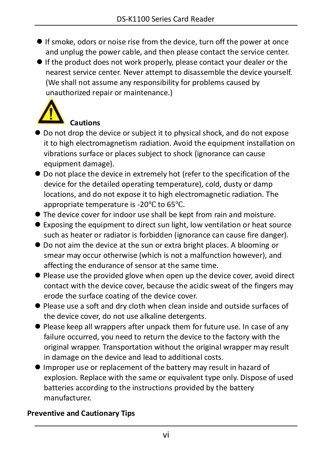- If smoke, odors or noise rise from the device, turn off the power at once and unplug the power cable, and then please contact the service center.
- If the product does not work properly, please contact your dealer or the nearest service center. Never attempt to disassemble the device yourself. (We shall not assume any responsibility for problems caused by unauthorized repair or maintenance.)



- $\bullet$  Do not drop the device or subject it to physical shock, and do not expose it to high electromagnetism radiation. Avoid the equipment installation on vibrations surface or places subject to shock (ignorance can cause equipment damage).
- $\bullet$  Do not place the device in extremely hot (refer to the specification of the device for the detailed operating temperature), cold, dusty or damp locations, and do not expose it to high electromagnetic radiation. The appropriate temperature is -20℃ to 65℃.
- The device cover for indoor use shall be kept from rain and moisture.
- Exposing the equipment to direct sun light, low ventilation or heat source such as heater or radiator is forbidden (ignorance can cause fire danger).
- Do not aim the device at the sun or extra bright places. A blooming or smear may occur otherwise (which is not a malfunction however), and affecting the endurance of sensor at the same time.
- Please use the provided glove when open up the device cover, avoid direct contact with the device cover, because the acidic sweat of the fingers may erode the surface coating of the device cover.
- Please use a soft and dry cloth when clean inside and outside surfaces of the device cover, do not use alkaline detergents.
- Please keep all wrappers after unpack them for future use. In case of any failure occurred, you need to return the device to the factory with the original wrapper. Transportation without the original wrapper may result in damage on the device and lead to additional costs.
- Improper use or replacement of the battery may result in hazard of explosion. Replace with the same or equivalent type only. Dispose of used batteries according to the instructions provided by the battery manufacturer.

### **Preventive and Cautionary Tips**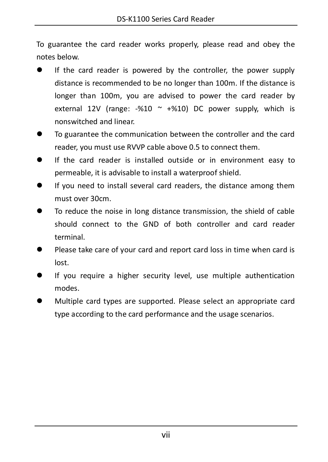To guarantee the card reader works properly, please read and obey the notes below.

- If the card reader is powered by the controller, the power supply distance is recommended to be no longer than 100m. If the distance is longer than 100m, you are advised to power the card reader by external 12V (range: -%10  $\sim$  +%10) DC power supply, which is nonswitched and linear.
- To guarantee the communication between the controller and the card reader, you must use RVVP cable above 0.5 to connect them.
- If the card reader is installed outside or in environment easy to permeable, it is advisable to install a waterproof shield.
- If you need to install several card readers, the distance among them must over 30cm.
- To reduce the noise in long distance transmission, the shield of cable should connect to the GND of both controller and card reader terminal.
- Please take care of your card and report card loss in time when card is lost.
- If you require a higher security level, use multiple authentication modes.
- Multiple card types are supported. Please select an appropriate card type according to the card performance and the usage scenarios.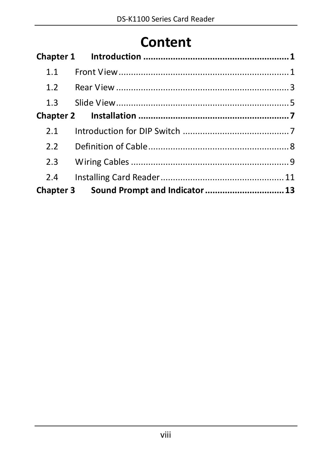# **Content**

| 1.1 |                                          |  |
|-----|------------------------------------------|--|
| 1.2 |                                          |  |
| 1.3 |                                          |  |
|     |                                          |  |
| 2.1 |                                          |  |
| 2.2 |                                          |  |
| 2.3 |                                          |  |
| 2.4 |                                          |  |
|     | Chapter 3 Sound Prompt and Indicator  13 |  |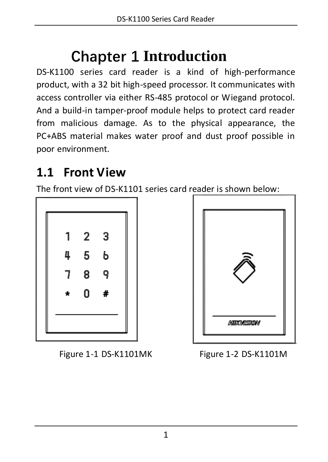# **Chapter 1 Introduction**

<span id="page-9-0"></span>DS-K1100 series card reader is a kind of high-performance product, with a 32 bit high-speed processor. It communicates with access controller via either RS-485 protocol or Wiegand protocol. And a build-in tamper-proof module helps to protect card reader from malicious damage. As to the physical appearance, the PC+ABS material makes water proof and dust proof possible in poor environment.

### <span id="page-9-1"></span>**1.1 Front View**

The front view of DS-K1101 series card reader is shown below:



Figure 1-1 DS-K1101MK Figure 1-2 DS-K1101M

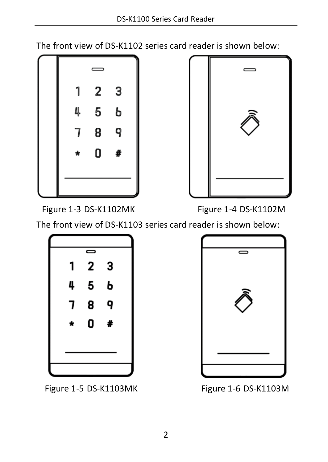The front view of DS-K1102 series card reader is shown below:





Figure 1-3 DS-K1102MK Figure 1-4 DS-K1102M

The front view of DS-K1103 series card reader is shown below:



Figure 1-5 DS-K1103MK Figure 1-6 DS-K1103M

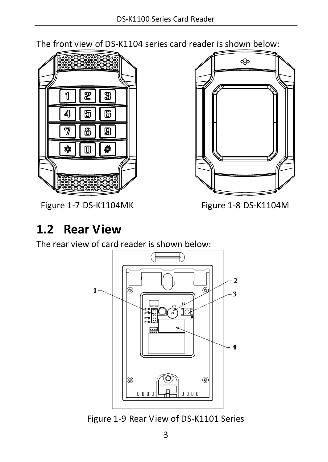The front view of DS-K1104 series card reader is shown below:



Figure 1-7 DS-K1104MK Figure 1-8 DS-K1104M



# <span id="page-11-0"></span>**1.2 Rear View**

The rear view of card reader is shown below:



Figure 1-9 Rear View of DS-K1101 Series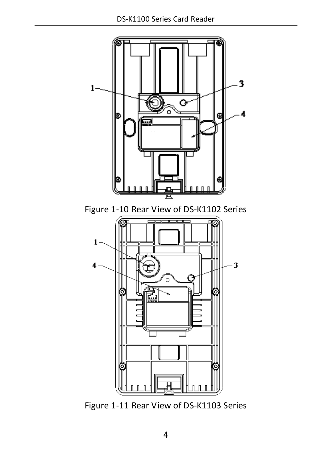

Figure 1-11 Rear View of DS-K1103 Series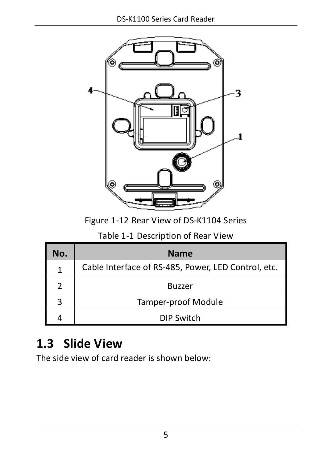

Figure 1-12 Rear View of DS-K1104 Series

|  | Table 1-1 Description of Rear View |  |  |  |
|--|------------------------------------|--|--|--|
|--|------------------------------------|--|--|--|

| No. | <b>Name</b>                                         |
|-----|-----------------------------------------------------|
| 1   | Cable Interface of RS-485, Power, LED Control, etc. |
| າ   | <b>Buzzer</b>                                       |
| ς   | Tamper-proof Module                                 |
|     | <b>DIP Switch</b>                                   |

## <span id="page-13-0"></span>**1.3 Slide View**

The side view of card reader is shown below: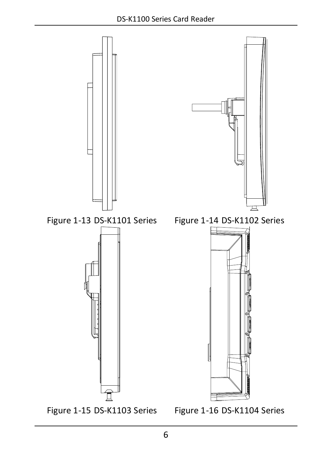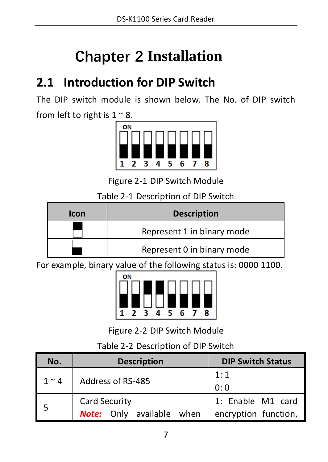# **Chapter 2 Installation**

## <span id="page-15-1"></span><span id="page-15-0"></span>**2.1 Introduction for DIP Switch**

The DIP switch module is shown below. The No. of DIP switch from left to right is  $1 \approx 8$ .



Figure 2-1 DIP Switch Module

Table 2-1 Description of DIP Switch

| <b>Icon</b> | <b>Description</b>         |
|-------------|----------------------------|
|             | Represent 1 in binary mode |
|             | Represent 0 in binary mode |

For example, binary value of the following status is: 0000 1100.



Figure 2-2 DIP Switch Module

Table 2-2 Description of DIP Switch

| No.        | <b>Description</b>                                | <b>DIP Switch Status</b>                  |
|------------|---------------------------------------------------|-------------------------------------------|
| $1 \sim 4$ | Address of RS-485                                 | 1:1<br>0:0                                |
| 5          | Card Security<br><b>Note:</b> Only available when | 1: Enable M1 card<br>encryption function, |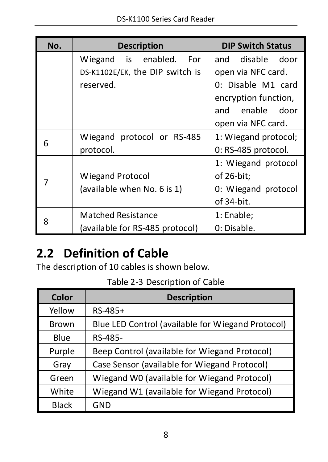| No. | <b>Description</b>              | <b>DIP Switch Status</b> |
|-----|---------------------------------|--------------------------|
|     | Wiegand is enabled.<br>For      | and disable door         |
|     | DS-K1102E/EK, the DIP switch is | open via NFC card.       |
|     | reserved.                       | 0: Disable M1 card       |
|     |                                 | encryption function,     |
|     |                                 | and enable door          |
|     |                                 | open via NFC card.       |
| 6   | Wiegand protocol or RS-485      | 1: Wiegand protocol;     |
|     | protocol.                       | 0: RS-485 protocol.      |
|     |                                 | 1: Wiegand protocol      |
|     | <b>Wiegand Protocol</b>         | of 26-bit;               |
|     | (available when No. 6 is 1)     | 0: Wiegand protocol      |
|     |                                 | of 34-bit.               |
| 8   | <b>Matched Resistance</b>       | 1: Enable;               |
|     | (available for RS-485 protocol) | 0: Disable.              |

# <span id="page-16-0"></span>**2.2 Definition of Cable**

The description of 10 cables is shown below.

|  | Table 2-3 Description of Cable |  |
|--|--------------------------------|--|
|--|--------------------------------|--|

| Color        | <b>Description</b>                                |
|--------------|---------------------------------------------------|
| Yellow       | RS-485+                                           |
| Brown        | Blue LED Control (available for Wiegand Protocol) |
| Blue         | RS-485-                                           |
| Purple       | Beep Control (available for Wiegand Protocol)     |
| Gray         | Case Sensor (available for Wiegand Protocol)      |
| Green        | Wiegand W0 (available for Wiegand Protocol)       |
| White        | Wiegand W1 (available for Wiegand Protocol)       |
| <b>Black</b> | GND                                               |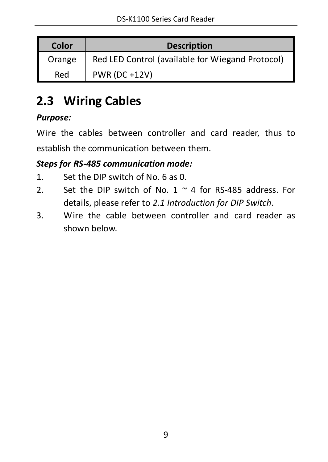| Color  | <b>Description</b>                               |
|--------|--------------------------------------------------|
| Orange | Red LED Control (available for Wiegand Protocol) |
| Red    | <b>PWR (DC +12V)</b>                             |

## <span id="page-17-0"></span>**2.3 Wiring Cables**

### *Purpose:*

Wire the cables between controller and card reader, thus to establish the communication between them.

### *Steps for RS-485 communication mode:*

- 1. Set the DIP switch of No. 6 as 0.
- 2. Set the DIP switch of No.  $1 \approx 4$  for RS-485 address. For details, please refer to *[2.1](#page-15-1) [Introduction](#page-15-1) for DIP Switch*.
- 3. Wire the cable between controller and card reader as shown below.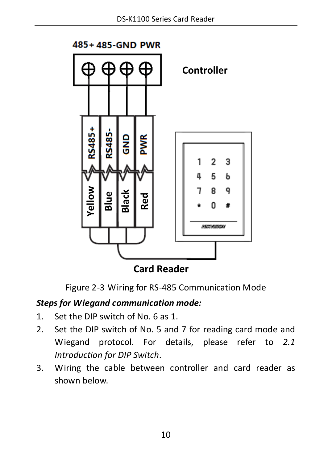

**Card Reader**

Figure 2-3 Wiring for RS-485 Communication Mode

### *Steps for Wiegand communication mode:*

- 1. Set the DIP switch of No. 6 as 1.
- 2. Set the DIP switch of No. 5 and 7 for reading card mode and Wiegand protocol. For details, please refer to *[2.1](#page-15-1) [Introduction](#page-15-1) for DIP Switch*.
- 3. Wiring the cable between controller and card reader as shown below.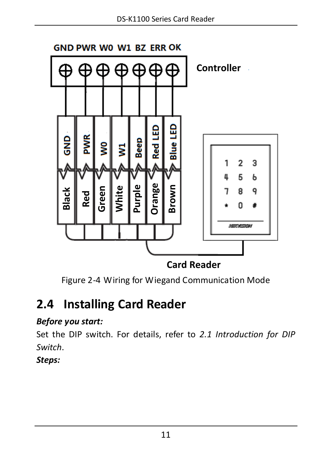

**Card Reader**

Figure 2-4 Wiring for Wiegand Communication Mode

### <span id="page-19-0"></span>**2.4 Installing Card Reader**

### *Before you start:*

Set the DIP switch. For details, refer to *[2.1](#page-15-1) [Introduction](#page-15-1) for DIP [Switch](#page-15-1)*.

*Steps:*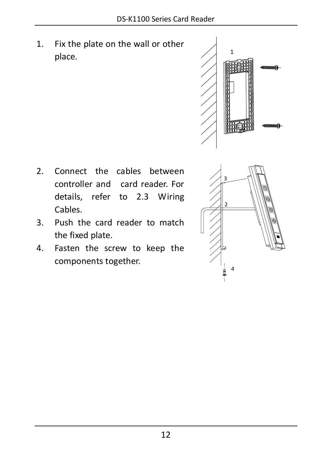1. Fix the plate on the wall or other place.



1

- 2. Connect the cables between controller and card reader. For details, refer to [2.3](#page-17-0) [Wiring](#page-17-0) [Cables.](#page-17-0) <sup>2</sup>
- 3. Push the card reader to match the fixed plate.
- 4. Fasten the screw to keep the components together.

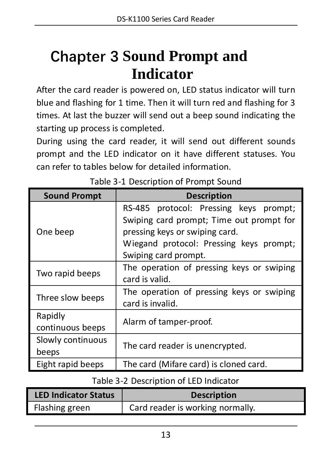# <span id="page-21-0"></span>**Chapter 3 Sound Prompt and Indicator**

After the card reader is powered on, LED status indicator will turn blue and flashing for 1 time. Then it will turn red and flashing for 3 times. At last the buzzer will send out a beep sound indicating the starting up process is completed.

During using the card reader, it will send out different sounds prompt and the LED indicator on it have different statuses. You can refer to tables below for detailed information.

| <b>Sound Prompt</b>         | <b>Description</b>                                                                                                                                                                      |
|-----------------------------|-----------------------------------------------------------------------------------------------------------------------------------------------------------------------------------------|
| One beep                    | RS-485 protocol: Pressing keys prompt;<br>Swiping card prompt; Time out prompt for<br>pressing keys or swiping card.<br>Wiegand protocol: Pressing keys prompt;<br>Swiping card prompt. |
| Two rapid beeps             | The operation of pressing keys or swiping<br>card is valid.                                                                                                                             |
| Three slow beeps            | The operation of pressing keys or swiping<br>card is invalid.                                                                                                                           |
| Rapidly<br>continuous beeps | Alarm of tamper-proof.                                                                                                                                                                  |
| Slowly continuous<br>beeps  | The card reader is unencrypted.                                                                                                                                                         |
| Eight rapid beeps           | The card (Mifare card) is cloned card.                                                                                                                                                  |

### Table 3-2 Description of LED Indicator

| <b>LED Indicator Status</b> | <b>Description</b>               |
|-----------------------------|----------------------------------|
| Flashing green              | Card reader is working normally. |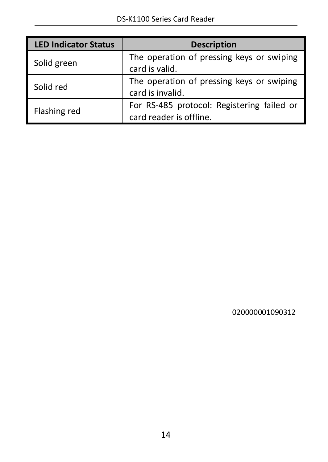| <b>LED Indicator Status</b> | <b>Description</b>                                                    |
|-----------------------------|-----------------------------------------------------------------------|
| Solid green                 | The operation of pressing keys or swiping<br>card is valid.           |
| Solid red                   | The operation of pressing keys or swiping<br>card is invalid.         |
| Flashing red                | For RS-485 protocol: Registering failed or<br>card reader is offline. |

020000001090312